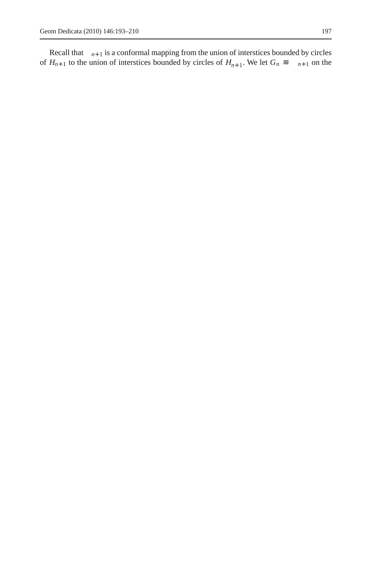Recall that  $n+1$  is a conformal mapping from the union of interstices bounded by circles  $H_{n+1}$  to the union of interstices bounded by circles of  $H_{n+1}$ . We let  $G_n$   $n+1$  on the of  $H_{n+1}$  to the union of interstices bounded by circles of  $H_{n+1}$ . We let  $G_n$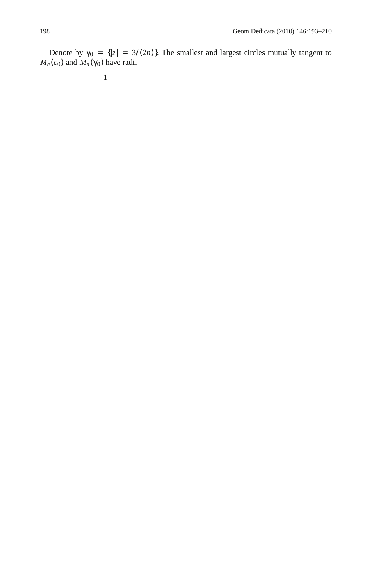Denote by  $_0 = \{ |z| = 3/(2n) \}$ . The smallest and largest circles mutually tangent to  $M_n(c_0)$  and  $M_n(c_0)$  have radii

$$
\frac{1}{\sqrt{2}}
$$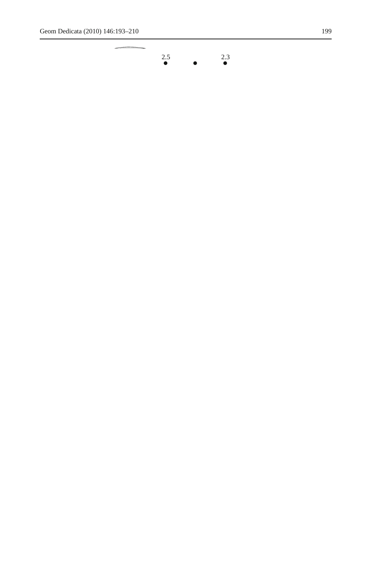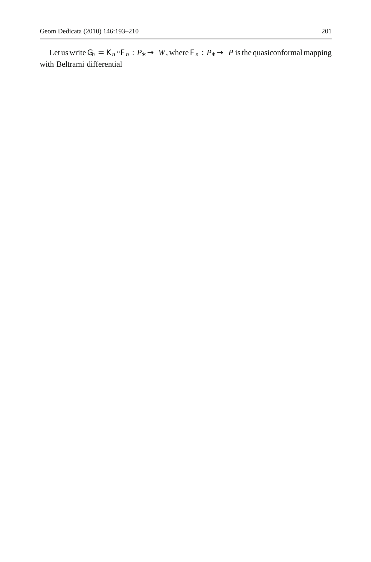Let us write  $G_n = K_n$   $F_n$ : *P W*, where  $F_n$ : *P P* is the quasiconformal mapping with Beltrami differential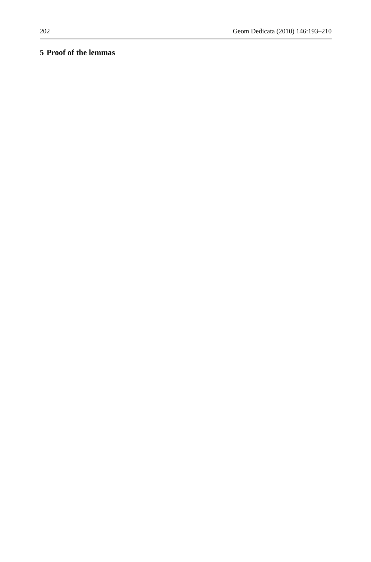## **5 Proof of the lemmas**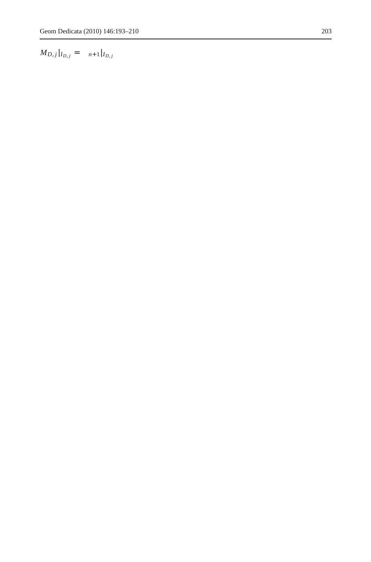$M_{D,j}|_{I_{D,j}} =$   $n+1|_{I_{D,j}}$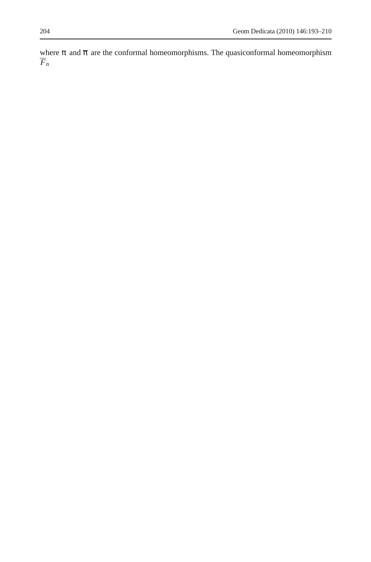and  $-$  are the conformal homeomorphisms. The quasiconformal homeomorphism where  $\overline{F}_n$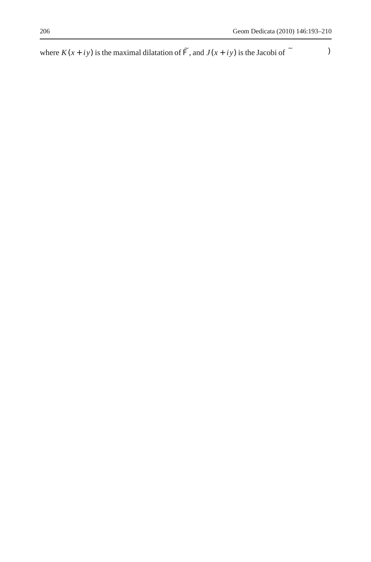where  $K(x + iy)$  is the maximal dilatation of  $F$ , and  $J(x + iy)$  is the Jacobi of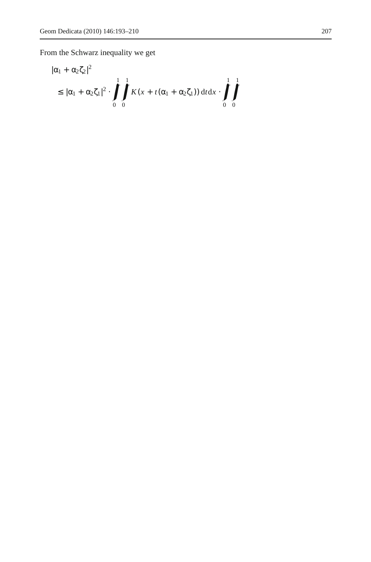From the Schwarz inequality we get

$$
\left| 1 + 2 2 \right|^2
$$
  
 
$$
\left| 1 + 2 1 \right|^2 \cdot \int_0^1 \int_0^1 K(x + t(\sqrt{1 + 2}) t) dt dx \cdot \int_0^1 \int_0^1
$$